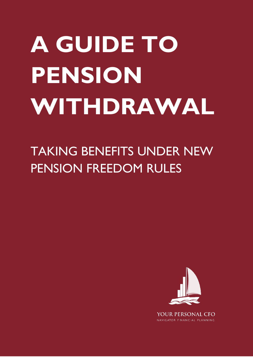# **A GUIDE TO PENSION WITHDRAWAL**

## TAKING BENEFITS UNDER NEW PENSION FREEDOM RULES



NAVIGATOR FINANCIAL PLANNING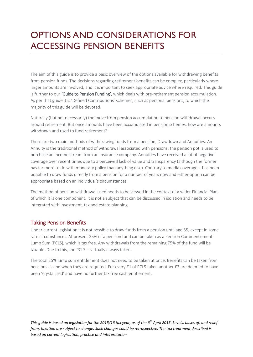### OPTIONS AND CONSIDERATIONS FOR ACCESSING PENSION BENEFITS

The aim of this guide is to provide a basic overview of the options available for withdrawing benefits from pension funds. The decisions regarding retirement benefits can be complex, particularly where larger amounts are involved, and it is important to seek appropriate advice where required. This guide is further to our 'Guide to Pension Funding', which deals with pre-retirement pension accumulation. As per that guide it is 'Defined Contributions' schemes, such as personal pensions, to which the majority of this guide will be devoted.

Naturally (but not necessarily) the move from pension accumulation to pension withdrawal occurs around retirement. But once amounts have been accumulated in pension schemes, how are amounts withdrawn and used to fund retirement?

There are two main methods of withdrawing funds from a pension; Drawdown and Annuities. An Annuity is the traditional method of withdrawal associated with pensions: the pension pot is used to purchase an income stream from an insurance company. Annuities have received a lot of negative coverage over recent times due to a perceived lack of value and transparency (although the former has far more to do with monetary policy than anything else). Contrary to media coverage it has been possible to draw funds directly from a pension for a number of years now and either option can be appropriate based on an individual's circumstances.

The method of pension withdrawal used needs to be viewed in the context of a wider Financial Plan, of which it is one component. It is not a subject that can be discussed in isolation and needs to be integrated with investment, tax and estate planning.

#### Taking Pension Benefits

Under current legislation it is not possible to draw funds from a pension until age 55, except in some rare circumstances. At present 25% of a pension fund can be taken as a Pension Commencement Lump Sum (PCLS), which is tax free. Any withdrawals from the remaining 75% of the fund will be taxable. Due to this, the PCLS is virtually always taken.

The total 25% lump sum entitlement does not need to be taken at once. Benefits can be taken from pensions as and when they are required. For every £1 of PCLS taken another £3 are deemed to have been 'crystallised' and have no further tax free cash entitlement.

*This guide is based on legislation for the 2015/16 tax year, as of the 6th April 2015. Levels, bases of, and relief from, taxation are subject to change. Such changes could be retrospective. The tax treatment described is based on current legislation, practice and interpretation*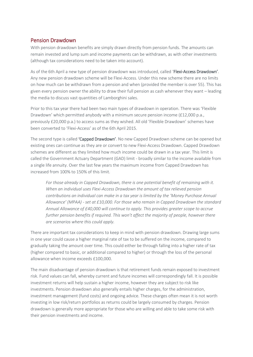#### Pension Drawdown

With pension drawdown benefits are simply drawn directly from pension funds. The amounts can remain invested and lump sum and income payments can be withdrawn, as with other investments (although tax considerations need to be taken into account).

As of the 6th April a new type of pension drawdown was introduced, called 'Flexi-Access Drawdown'. Any new pension drawdown scheme will be Flexi-Access. Under this new scheme there are no limits on how much can be withdrawn from a pension and when (provided the member is over 55). This has given every pension owner the ability to draw their full pension as cash whenever they want – leading the media to discuss vast quantities of Lamborghini sales.

Prior to this tax year there had been two main types of drawdown in operation. There was 'Flexible Drawdown' which permitted anybody with a minimum secure pension income (£12,000 p.a., previously £20,000 p.a.) to access sums as they wished. All old 'Flexible Drawdown' schemes have been converted to 'Flexi-Access' as of the 6th April 2015.

The second type is called 'Capped Drawdown'. No new Capped Drawdown scheme can be opened but existing ones can continue as they are or convert to new Flexi-Access Drawdown. Capped Drawdown schemes are different as they limited how much income could be drawn in a tax year. This limit is called the Government Actuary Department (GAD) limit - broadly similar to the income available from a single life annuity. Over the last few years the maximum income from Capped Drawdown has increased from 100% to 150% of this limit.

*For those already in Capped Drawdown, there is one potential benefit of remaining with it. When an individual uses Flexi-Access Drawdown the amount of tax relieved pension contributions an individual can make in a tax year is limited by the 'Money Purchase Annual Allowance' (MPAA) - set at £10,000. For those who remain in Capped Drawdown the standard Annual Allowance of £40,000 will continue to apply. This provides greater scope to accrue further pension benefits if required. This won't affect the majority of people, however there are scenarios where this could apply.*

There are important tax considerations to keep in mind with pension drawdown. Drawing large sums in one year could cause a higher marginal rate of tax to be suffered on the income, compared to gradually taking the amount over time. This could either be through falling into a higher rate of tax (higher compared to basic, or additional compared to higher) or through the loss of the personal allowance when income exceeds £100,000.

The main disadvantage of pension drawdown is that retirement funds remain exposed to investment risk. Fund values can fall, whereby current and future incomes will correspondingly fall. It is possible investment returns will help sustain a higher income, however they are subject to risk like investments. Pension drawdown also generally entails higher charges, for the administration, investment management (fund costs) and ongoing advice. These charges often mean it is not worth investing in low risk/return portfolios as returns could be largely consumed by charges. Pension drawdown is generally more appropriate for those who are willing and able to take some risk with their pension investments and income.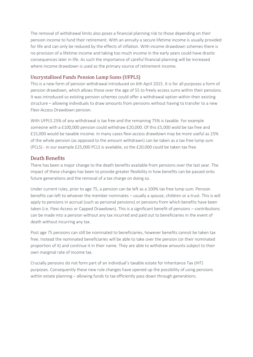The removal of withdrawal limits also poses a financial planning risk to those depending on their pension income to fund their retirement. With an annuity a secure lifetime income is usually provided for life and can only be reduced by the effects of inflation. With income drawdown schemes there is no provision of a lifetime income and taking too much income in the early years could have drastic consequences later in life. As such the importance of careful financial planning will be increased where income drawdown is used as the primary source of retirement income.

#### Uncrystallised Funds Pension Lump Sums (UFPLS)

This is a new form of pension withdrawal introduced on 6th April 2015. It is for all purposes a form of pension drawdown, which allows those over the age of 55 to freely access sums within their pensions. It was introduced so existing pension schemes could offer a withdrawal option within their existing structure – allowing individuals to draw amounts from pensions without having to transfer to a new Flexi-Access Drawdown pension.

With UFPLS 25% of any withdrawal is tax free and the remaining 75% is taxable. For example someone with a £100,000 pension could withdraw £20,000. Of this £5,000 wold be tax free and £15,000 would be taxable income. In many cases flexi-access drawdown may be more useful as 25% of the whole pension (as opposed to the amount withdrawn) can be taken as a tax free lump sum (PCLS) - in our example £25,000 PCLS is available, so the £20,000 could be taken tax free.

#### Death Benefits

There has been a major change to the death benefits available from pensions over the last year. The impact of these changes has been to provide greater flexibility in how benefits can be passed onto future generations and the removal of a tax charge on doing so.

Under current rules, prior to age 75, a pension can be left as a 100% tax free lump sum. Pension benefits can left to whoever the member nominates – usually a spouse, children or a trust. This is will apply to pensions in accrual (such as personal pensions) or pensions from which benefits have been taken (i.e. Flexi-Access or Capped Drawdown). This is a significant benefit of pensions – contributions can be made into a pension without any tax incurred and paid out to beneficiaries in the event of death without incurring any tax.

Post age 75 pensions can still be nominated to beneficiaries, however benefits cannot be taken tax free. Instead the nominated beneficiaries will be able to take over the pension (or their nominated proportion of it) and continue it in their name. They are able to withdraw amounts subject to their own marginal rate of income tax.

Crucially pensions do not form part of an individual's taxable estate for Inheritance Tax (IHT) purposes. Consequently these new rule changes have opened up the possibility of using pensions within estate planning – allowing funds to tax efficiently pass down through generations.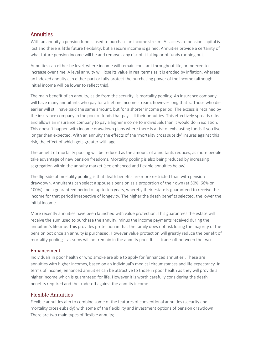#### Annuities

With an annuity a pension fund is used to purchase an income stream. All access to pension capital is lost and there is little future flexibility, but a secure income is gained. Annuities provide a certainty of what future pension income will be and removes any risk of it falling or of funds running out.

Annuities can either be level, where income will remain constant throughout life, or indexed to increase over time. A level annuity will lose its value in real terms as it is eroded by inflation, whereas an indexed annuity can either part or fully protect the purchasing power of the income (although initial income will be lower to reflect this).

The main benefit of an annuity, aside from the security, is mortality pooling. An insurance company will have many annuitants who pay for a lifetime income stream, however long that is. Those who die earlier will still have paid the same amount, but for a shorter income period. The excess is retained by the insurance company in the pool of funds that pays all their annuities. This effectively spreads risks and allows an insurance company to pay a higher income to individuals than it would do in isolation. This doesn't happen with income drawdown plans where there is a risk of exhausting funds if you live longer than expected. With an annuity the effects of the 'mortality cross subsidy' insures against this risk, the effect of which gets greater with age.

The benefit of mortality pooling will be reduced as the amount of annuitants reduces, as more people take advantage of new pension freedoms. Mortality pooling is also being reduced by increasing segregation within the annuity market (see enhanced and flexible annuities below).

The flip-side of mortality pooling is that death benefits are more restricted than with pension drawdown. Annuitants can select a spouse's pension as a proportion of their own (at 50%, 66% or 100%) and a guaranteed period of up to ten years, whereby their estate is guaranteed to receive the income for that period irrespective of longevity. The higher the death benefits selected, the lower the initial income.

More recently annuities have been launched with value protection. This guarantees the estate will receive the sum used to purchase the annuity, minus the income payments received during the annuitant's lifetime. This provides protection in that the family does not risk losing the majority of the pension pot once an annuity is purchased. However value protection will greatly reduce the benefit of mortality pooling – as sums will not remain in the annuity pool. It is a trade-off between the two.

#### Enhancement

Individuals in poor health or who smoke are able to apply for 'enhanced annuities'. These are annuities with higher incomes, based on an individual's medical circumstances and life expectancy. In terms of income, enhanced annuities can be attractive to those in poor health as they will provide a higher income which is guaranteed for life. However it is worth carefully considering the death benefits required and the trade-off against the annuity income.

#### Flexible Annuities

Flexible annuities aim to combine some of the features of conventional annuities (security and mortality cross-subsidy) with some of the flexibility and investment options of pension drawdown. There are two main types of flexible annuity;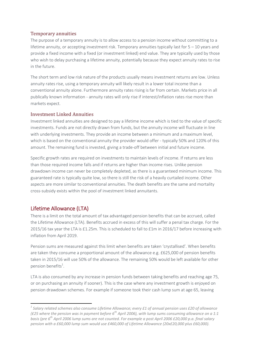#### Temporary annuities

The purpose of a temporary annuity is to allow access to a pension income without committing to a lifetime annuity, or accepting investment risk. Temporary annuities typically last for 5 – 10 years and provide a fixed income with a fixed (or investment linked) end value. They are typically used by those who wish to delay purchasing a lifetime annuity, potentially because they expect annuity rates to rise in the future.

The short term and low risk nature of the products usually means investment returns are low. Unless annuity rates rise, using a temporary annuity will likely result in a lower total income than a conventional annuity alone. Furthermore annuity rates rising is far from certain. Markets price in all publically known information - annuity rates will only rise if interest/inflation rates rise more than markets expect.

#### Investment Linked Annuities

Investment linked annuities are designed to pay a lifetime income which is tied to the value of specific investments. Funds are not directly drawn from funds, but the annuity income will fluctuate in line with underlying investments. They provide an income between a minimum and a maximum level, which is based on the conventional annuity the provider would offer - typically 50% and 120% of this amount. The remaining fund is invested, giving a trade-off between initial and future income.

Specific growth rates are required on investments to maintain levels of income. If returns are less than those required income falls and if returns are higher than income rises. Unlike pension drawdown income can never be completely depleted, as there is a guaranteed minimum income. This guaranteed rate is typically quite low, so there is still the risk of a heavily curtailed income. Other aspects are more similar to conventional annuities. The death benefits are the same and mortality cross-subsidy exists within the pool of investment linked annuitants.

#### Lifetime Allowance (LTA)

**.** 

There is a limit on the total amount of tax advantaged pension benefits that can be accrued, called the Lifetime Allowance (LTA). Benefits accrued in excess of this will suffer a penal tax charge. For the 2015/16 tax year the LTA is £1.25m. This is scheduled to fall to £1m in 2016/17 before increasing with inflation from April 2019.

Pension sums are measured against this limit when benefits are taken 'crystallised'. When benefits are taken they consume a proportional amount of the allowance e.g. £625,000 of pension benefits taken in 2015/16 will use 50% of the allowance. The remaining 50% would be left available for other pension benefits<sup>1</sup>.

LTA is also consumed by any increase in pension funds between taking benefits and reaching age 75, or on purchasing an annuity if sooner). This is the case where any investment growth is enjoyed on pension drawdown schemes. For example if someone took their cash lump sum at age 65, leaving

*<sup>1</sup> Salary related schemes also consume Lifetime Allowance; every £1 of annual pension uses £20 of allowance (£25 where the pension was in payment before 6th April 2006), with lump sums consuming allowance on a 1:1 basis (pre 6th April 2006 lump sums are not counted. For example a post April 2006 £20,000 p.a. final salary pension with a £60,000 lump sum would use £460,000 of Lifetime Allowance (20x£20,000 plus £60,000).*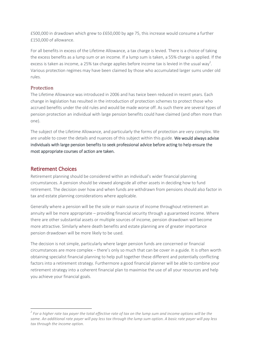£500,000 in drawdown which grew to £650,000 by age 75, this increase would consume a further £150,000 of allowance.

For all benefits in excess of the Lifetime Allowance, a tax charge is levied. There is a choice of taking the excess benefits as a lump sum or an income. If a lump sum is taken, a 55% charge is applied. If the excess is taken as income, a 25% tax charge applies before income tax is levied in the usual way<sup>2</sup>. Various protection regimes may have been claimed by those who accumulated larger sums under old rules.

#### Protection

The Lifetime Allowance was introduced in 2006 and has twice been reduced in recent years. Each change in legislation has resulted in the introduction of protection schemes to protect those who accrued benefits under the old rules and would be made worse off. As such there are several types of pension protection an individual with large pension benefits could have claimed (and often more than one).

The subject of the Lifetime Allowance, and particularly the forms of protection are very complex. We are unable to cover the details and nuances of this subject within this guide. We would always advise individuals with large pension benefits to seek professional advice before acting to help ensure the most appropriate courses of action are taken.

#### Retirement Choices

**.** 

Retirement planning should be considered within an individual's wider financial planning circumstances. A pension should be viewed alongside all other assets in deciding how to fund retirement. The decision over how and when funds are withdrawn from pensions should also factor in tax and estate planning considerations where applicable.

Generally where a pension will be the sole or main source of income throughout retirement an annuity will be more appropriate – providing financial security through a guaranteed income. Where there are other substantial assets or multiple sources of income, pension drawdown will become more attractive. Similarly where death benefits and estate planning are of greater importance pension drawdown will be more likely to be used.

The decision is not simple, particularly where larger pension funds are concerned or financial circumstances are more complex – there's only so much that can be cover in a guide. It is often worth obtaining specialist financial planning to help pull together these different and potentially conflicting factors into a retirement strategy. Furthermore a good financial planner will be able to combine your retirement strategy into a coherent financial plan to maximise the use of all your resources and help you achieve your financial goals.

*<sup>2</sup> For a higher rate tax payer the total effective rate of tax on the lump sum and income options will be the same. An additional rate payer will pay less tax through the lump sum option. A basic rate payer will pay less tax through the income option.*